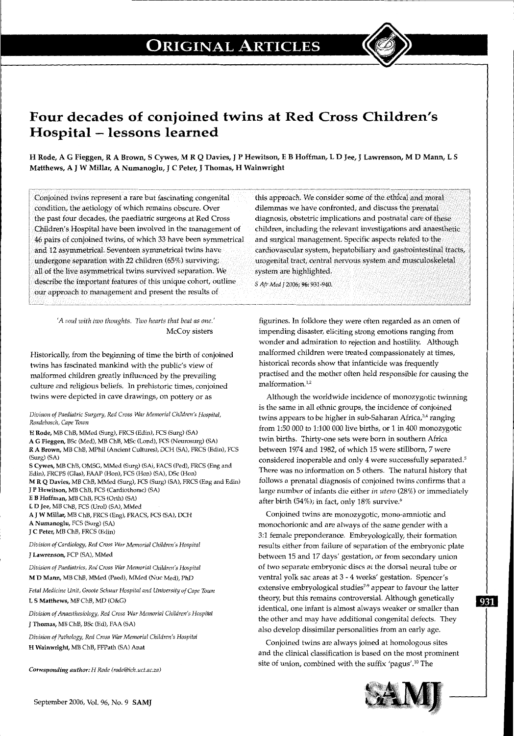

## **Four decades of conjoined twins at Red Cross Children's Hospital-lessons learned**

H Rode, A G Fieggen, R A Brown, S Cywes, M R Q Davies, J P Hewitson, E B Hoffman, L D Jee, J Lawrenson, MD Mann, L S Matthews, A J W Millar, A Numanoglu, J C Peter, J Thomas, H Wainwright

Conjoined twins represent a rare but fascinating congenital condition, the aetiology of which remains obscure. Over the past four decades, the paediatric surgeons at Red Cross Children's Hospital have been involved in the management of 46 pairs of conjoined twins, of which 33 have been symmetrical and 12 asymmetrical. Seventeen symmetrical twins have undergone separation with 22 children (65%) surviving; all of the live asymmetrical twins survived separation. We describe the important features of this unique cohort, outline our approach to management and present the results of

> *'A soul with two thoughts. Two hearts that beat as one.'*  McCoy sisters

Historically, from the beginning of time the birth of conjoined twins has fascinated mankind with the public's view of malformed children greatly influenced by the prevailing culture and religious beliefs. In prehistoric times, conjoined twins were depicted in cave drawings, on pottery or as

*Division of Paediatric Surgery, Red Cross War Memorial Children's Hospital, Rondebosch, Cape Town* 

H Rode, MB ChB, MMed (Surg), FRCS (Edin), FCS (Surg) (SA) A G Fieggen, BSc (Med), MB ChB, MSc (Lond), FCS (Neurosurg) (SA) R A Brown, MB ChB, MPhil (Ancient Cultures), DCH (SA), FRCS (Edin), FCS (Surg) (SA)

S Cywes, MB ChB, OMSG, MMed (Surg) (SA), FACS (Ped), FRCS (Eng and Edin), FRCPS (Gias), FAAP (Hon), FCS (Hon) (SA), DSc (Hon)

M R Q Davies, MB ChB, MMed (Surg), FCS (Surg) (SA), FRCS (Eng and Edin) J P Hewitson, MB ChB, FCS (Cardiothorac) (SA)

E B Hoffman, MB ChB, FCS (Orth) (SA)

L D Jee, MB ChB, FCS (Urol) (SA), MMed

A J W Millar, MB ChB, FRCS (Eng), FRACS, FCS (SA), DCH

A Numanoglu, FCS (Surg) (SA)

J C Peter, MB ChB, FRCS (Edin)

*Division of Cardiology, Red Cross War Memorial Children's Hospital*  J Lawrenson, FCP (SA), MMed

*Division of Paediatrics, Red Cross War Memorial Children's Hospital*  M 0 Mann, MB ChB, MMed (Paed), MMed (Nuc Med), PhD

*Fetal Medicine Unit, Groote Schuur Hospital and University of Cape Town*  L S Matthews, MB ChB, MD (O&G)

*Division of Anaesthesiology, Red Cross War Memorial Children's Hospital*  J Thomas, MB ChB, BSc (Ed), FAA (SA)

*Division of Pathology, Red Cross War Memorial Children's Hospital*  H Wainwright, MB ChB, FFPath (SA) Anat

*Corresponding autlwr: H Rode (rode@ich.uct.ac.za)* 

this approach. We consider some of the ethical and moral dilemmas we have confronted, and discuss the prenatal diagnosis, obstetric implications and postnatal care of these children, including the relevant investigations and anaesthetic and surgical management. Specific aspects related to the cardiovascular system, hepatobiliary and gastrointestinal tracts, urogenital tract, central nervous system and musculoskeletal system are highlighted.

*S Afr Med* J 2006; 96:931-940.

figurines. In folklore they were often regarded as an omen of impending disaster, eliciting strong emotions ranging from wonder and admiration to rejection and hostility. Although malformed children were treated compassionately at times, historical records show that infanticide was frequently practised and the mother often held responsible for causing the malformation.<sup>1,2</sup>

Although the worldwide incidence of monozygotic twinning is the same in all ethnic groups, the incidence of conjoined twins appears to be higher in sub-Saharan Africa,<sup>3,4</sup> ranging from 1:50 000 to 1:100 000 live births, or 1 in 400 monozygotic twin births. Thirty-one sets were born in southern Africa between 1974 and 1982, of which 15 were stillborn, 7 were considered inoperable and only 4 were successfully separated.5 There was no information on 5 others. The natural history that follows a prenatal diagnosis of conjoined twins confirms that a large number of infants die either *in utero* (28%) or immediately after birth (54%); in fact, only 18% survive.<sup>6</sup>

Conjoined twins are monozygotic, mono-amniotic and monochorionic and are always of the same gender with a 3:1 female preponderance. Embryologically, their formation results either from failure of separation of the embryonic plate between 15 and 17 days' gestation, or from secondary union of two separate embryonic discs at the dorsal neural tube or ventral yolk sac areas at 3- 4 weeks' gestation. Spencer's extensive embryological studies<sup>7-9</sup> appear to favour the latter theory, but this remains controversial. Although genetically 931 identical, one infant is almost always weaker or smaller than the other and may have additional congenital defects. They also develop dissimilar personalities from an early age.

Conjoined twins are always joined at homologous sites and the clinical classification is based on the most prominent site of union, combined with the suffix 'pagus'.<sup>10</sup> The

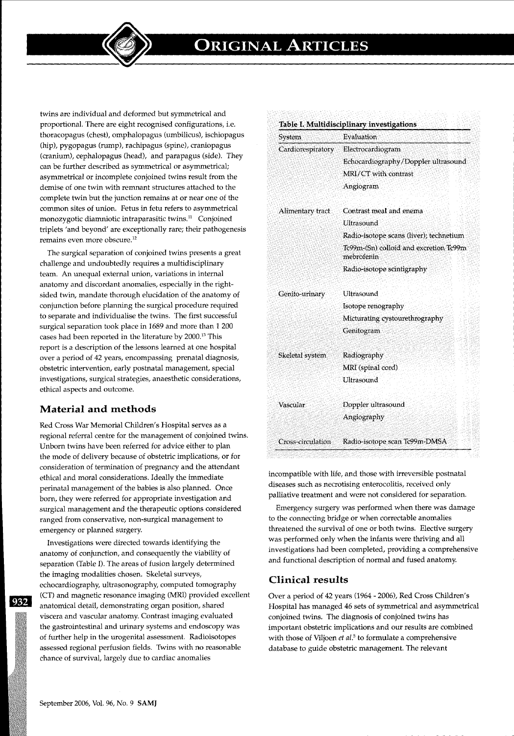twins are individual and deformed but symmetrical and proportional. There are eight recognised configurations, i.e. thoracopagus (chest), omphalopagus (umbilicus), ischiopagus (hip), pygopagus (rump), rachipagus (spine), craniopagus (cranium), cephalopagus (head), and parapagus (side). They can be further described as symmetrical or asymmetrical; asymmetrical or incomplete conjoined twins result from the demise of one twin with remnant structures attached to the complete twin but the junction remains at or near one of the common sites of union. Fetus in fetu refers to asymmetrical monozygotic diamniotic intraparasitic twins. $11$  Conjoined triplets 'and beyond' are exceptionally rare; their pathogenesis remains even more obscure. 12

The surgical separation of conjoined twins presents a great challenge and undoubtedly requires a multidisciplinary team. An unequal external union, variations in internal anatomy and discordant anomalies, especially in the rightsided twin, mandate thorough elucidation of the anatomy of conjunction before planning the surgical procedure required to separate and individualise the twins. The first successful surgical separation took place in 1689 and more than 1 200 cases had been reported in the literature by 2000. 13 This report is a description of the lessons learned at one hospital over a period of 42 years, encompassing prenatal diagnosis, obstetric intervention, early postnatal management, special investigations, surgical strategies, anaesthetic considerations, ethical aspects and outcome.

## **Material and methods**

Red Cross War Memorial Children's Hospital serves as a regional referral centre for the management of conjoined twins. Unborn twins have been referred for advice either to plan the mode of delivery because of obstetric implications, or for consideration of termination of pregnancy and the attendant ethical and moral considerations. Ideally the immediate perinatal management of the babies is also planned. Once born, they were referred for appropriate investigation and surgical management and the therapeutic options considered ranged from conservative, non-surgical management to emergency or planned surgery.

Investigations were directed towards identifying the anatomy of conjunction, and consequently the viability of separation (Table I). The areas of fusion largely determined the imaging modalities chosen. Skeletal surveys, echocardiography, ultrasonography, computed tomography (CT) and magnetic resonance imaging (MRI) provided excellent anatomical detail, demonstrating organ position, shared viscera and vascular anatomy. Contrast imaging evaluated the gastrointestinal and urinary systems and endoscopy was of further help in the urogenital assessment. Radioisotopes assessed regional perfusion fields. Twins with no reasonable chance of survival, largely due to cardiac anomalies

| System            | Evaluation                                           |
|-------------------|------------------------------------------------------|
| Cardiorespiratory | Electrocardiogram                                    |
|                   | Echocardiography/Doppler ultrasound                  |
|                   | MRI/CT with contrast                                 |
|                   | Angiogram                                            |
| Alimentary tract  | Contrast meal and enema                              |
|                   | Ultrasound                                           |
|                   | Radio-isotope scans (liver); technetium              |
|                   | Tc99m-(Sn) colloid and excretion Tc99m<br>mebrofenin |
|                   | Radio-isotope scintigraphy                           |
| Genito-urinary    | Ultrasound                                           |
|                   | Isotope renography                                   |
|                   | Micturating cystourethrography                       |
|                   | Genitogram                                           |
| Skeletal system   | Radiography                                          |
|                   | MRI (spinal cord)                                    |
|                   | Ultrasound                                           |
| Vascular          | Doppler ultrasound                                   |
|                   | Angiography                                          |
| Cross-circulation | Radio-isotope scan Tc99m-DMSA                        |

incompatible with life, and those with irreversible postnatal diseases such as necrotising enterocolitis, received only palliative treatment and were not considered for separation.

Emergency surgery was performed when there was damage to the connecting bridge or when correctable anomalies threatened the survival of one or both twins. Elective surgery was performed only when the infants were thriving and all investigations had been completed, providing a comprehensive and functional description of normal and fused anatomy.

## **Clinical results**

Over a period of 42 years (1964- 2006), Red Cross Children's Hospital has managed 46 sets of symmetrical and asymmetrical conjoined twins. The diagnosis of conjoined twins has important obstetric implications and our results are combined with those of Viljoen *et al.5* to formulate a comprehensive database to guide obstetric management. The relevant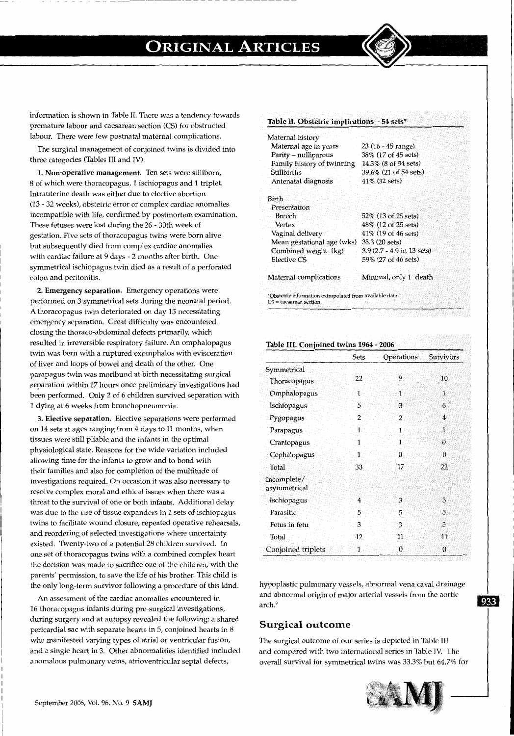

The surgical management of conjoined twins is divided into three categories (Tables III and IV).

1. Non-operative management. Ten sets were stillborn, 8 of which were thoracopagus, 1 ischiopagus and 1 triplet. Intrauterine death was either due to elective abortion (13- 32 weeks), obstetric error or complex cardiac anomalies incompatible with life, confirmed by postmortem examination. These fetuses were lost during the 26 - 30th week of gestation. Five sets of thoracopagus twins were born alive but subsequently died from complex cardiac anomalies with cardiac failure at 9 days - 2 months after birth. One symmetrical ischiopagus twin died as a result of a perforated colon and peritonitis.

2. Emergency separation. Emergency operations were performed on 3 symmetrical sets during the neonatal period. A thoracopagus twin deteriorated on day 15 necessitating emergency separation. Great difficulty was encountered closing the thoraco-abdominal defects primarily, which resulted in irreversible respiratory failure. An omphalopagus twin was born with a ruptured exomphalos with evisceration of liver and loops of bowel and death of the other. One parapagus twin was moribund at birth necessitating surgical separation within 17 hours once preliminary investigations had been performed. Only 2 of 6 children survived separation with 1 dying at 6 weeks from bronchopneumonia.

3. Elective separation. Elective separations were performed on 14 sets at ages ranging from 4 days to 11 months, when tissues were still pliable and the infants in the optimal physiological state. Reasons for the wide variation included allowing time for the infants to grow and to bond with their families and also for completion of the multitude of investigations required. On occasion it was also necessary to resolve complex moral and ethical issues when there was a threat to the survival of one or both infants. Additional delay was due to the use of tissue expanders in 2 sets of ischiopagus twins to facilitate wound closure, repeated operative rehearsals, and reordering of selected investigations where uncertainty existed. Twenty-two of a potential 28 children survived. In one set of thoracopagus twins with a combined complex heart the decision was made to sacrifice one of the children, with the parents' permission, to save the life of his brother. This child is the only long-term survivor following a procedure of this kind.

An assessment of the cardiac anomalies encountered in 16 thoracopagus infants during pre-surgical investigations, during surgery and at autopsy revealed the following: a shared pericardial sac with separate hearts in 5, conjoined hearts in 8 who manifested varying types of atrial or ventricular fusion, and a single heart in 3. Other abnormalities identified included anomalous pulmonary veins, atrioventricular septal defects,

#### Table II. Obstetric implications - 54 sets\*

| Maternal history                                                                      |                            |
|---------------------------------------------------------------------------------------|----------------------------|
| Maternal age in years                                                                 | 23 (16 - 45 range)         |
| Parity - nulliparous                                                                  | 38% (17 of 45 sets)        |
| Family history of twinning                                                            | 14.3% (8 of 54 sets)       |
| <b>Stillbirths</b>                                                                    | 39.6% (21 of 54 sets)      |
| Antenatal diagnosis                                                                   | 41\% (32 sets)             |
| Birth                                                                                 |                            |
| Presentation                                                                          |                            |
| Breech                                                                                | 52% (13 of 25 sets)        |
| Vertex                                                                                | 48% (12 of 25 sets)        |
| Vaginal delivery                                                                      | 41% (19 of 46 sets)        |
| Mean gestational age (wks)                                                            | $35.3(20 \text{ sets})$    |
| Combined weight (kg)                                                                  | 3.9 (2.7 - 4.9 in 13 sets) |
| Elective CS                                                                           | 59% (27 of 46 sets)        |
| Maternal complications                                                                | Minimal, only 1 death      |
| *Obstetric information extrapolated from available data.<br>$CS$ = caesarean section. |                            |

#### Table III. Conjoined twins 1964 - 2006

|                             | Sets | Operations | <b>Survivors</b> |
|-----------------------------|------|------------|------------------|
| Symmetrical                 |      |            |                  |
| Thoracopagus                | 22   | 9          | 10               |
| Omphalopagus                | 1    | 1          | 1                |
| Ischiopagus                 | 5    | 3          | 6                |
| Pygopagus                   | 2    | 2          | 4                |
| Parapagus                   | 1    | ាំ         | 1                |
| Craniopagus                 |      | 1          | $\theta$         |
| Cephalopagus                | 1    | $\bf{0}$   | $\mathbf{0}$     |
| Total                       | 33   | 17         | 22               |
| Incomplete/<br>asymmetrical |      |            |                  |
| Ischiopagus                 | 4    | 3          | 3                |
| Parasitic                   | 5    | 5          | 5                |
| Fetus in fetu               | 3    | 3          | 3                |
| Total                       | 12   | 11         | 11               |
| Conjoined triplets          | 1    | 0          | 0                |

hypoplastic pulmonary vessels, abnormal vena caval drainage and abnormal origin of major arterial vessels from the aortic arch. <sup>9</sup>

#### Surgical outcome

The surgical outcome of our series is depicted in Table III and compared with two international series in Table IV. The overall survival for symmetrical twins was 33.3% but 64.7% for



933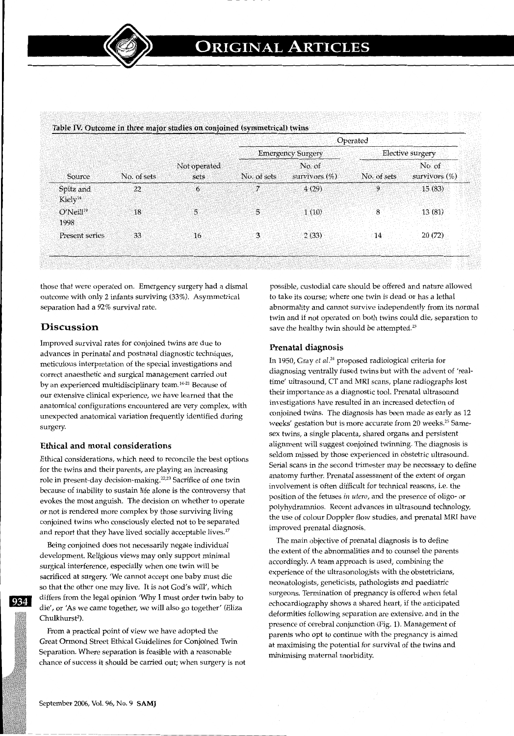| Source                           | No. of sets | Not operated<br>sets | Operated                 |                            |                  |                            |
|----------------------------------|-------------|----------------------|--------------------------|----------------------------|------------------|----------------------------|
|                                  |             |                      | <b>Emergency Surgery</b> |                            | Elective surgery |                            |
|                                  |             |                      | No. of sets              | No. of<br>survivors $(\%)$ | No. of sets      | No. of<br>survivors $(\%)$ |
| Spitz and<br>Kiely <sup>14</sup> | 22          | 6                    | 7                        | 4(29)                      | 9                | 15(83)                     |
| O'Neill <sup>19</sup><br>1998    | 18          | 5                    | 5                        | 1(10)                      | 8                | 13(81)                     |
| Present series                   | 33          | 16                   | 3                        | 2(33)                      | 14               | 20(72)                     |

those that were operated on. Emergency surgery had a dismal outcome with only 2 infants surviving (33%). Asymmetrical separation had a 92% survival rate.

## Discussion

Improved survival rates for conjoined twins are due to advances in perinatal and postnatal diagnostic techniques, meticulous interpretation of the special investigations and correct anaesthetic and surgical management carried out by an experienced multidisciplinary team.<sup>14-21</sup> Because of our extensive clinical experience, we have learned that the anatomical configurations encountered are very complex, with unexpected anatomical variation frequently identified during surgery.

### Ethical and moral considerations

Ethical considerations, which need to reconcile the best options for the twins and their parents, are playing an increasing role in present-day decision-making.<sup>22,23</sup> Sacrifice of one twin because of inability to sustain life alone is the controversy that evokes the most anguish. The decision on whether to operate or not is rendered more complex by those surviving living conjoined twins who consciously elected not to be separated and report that they have lived socially acceptable lives.<sup>17</sup>

Being conjoined does not necessarily negate individual development. Religious views may only support minimal surgical interference, especially when one twin will be sacrificed at surgery. 'We cannot accept one baby must die so that the other one may live. It is not God's will', which differs from the legal opinion 'Why I must order twin baby to die', or 'As we came together, we will also go together' (Eliza Chulkhurst<sup>2</sup>).

From a practical point of view we have adopted the Great Ormond Street Ethical Guidelines for Conjoined Twin Separation. Where separation is feasible with a reasonable chance of success it should be carried out; when surgery is not possible, custodial care should be offered and nature allowed to take its course; where one twin is dead or has a lethal abnormality and cannot survive independently from its normal twin and if not operated on both twins could die, separation to save the healthy twin should be attempted. $^{23}$ 

#### Prenatal diagnosis

In 1950, Gray *et al.<sup>24</sup>* proposed radiological criteria for diagnosing ventrally fused twins but with the advent of 'realtime' ultrasound, CT and MRI scans, plane radiographs lost their importance as a diagnostic tool. Prenatal ultrasound investigations have resulted in an increased detection of conjoined twins. The diagnosis has been made as early as 12 weeks' gestation but is more accurate from 20 weeks.<sup>25</sup> Samesex twins, a single placenta, shared organs and persistent alignment will suggest conjoined twinning. The diagnosis is seldom missed by those experienced in obstetric ultrasound. Serial scans in the second trimester may be necessary to define anatomy further. Prenatal assessment of the extent of organ involvement is often difficult for technical reasons, i.e. the position of the fetuses *in utero,* and the presence of oligo- or polyhydramnios. Recent advances in ultrasound technology, the use of colour Doppler flow studies, and prenatal MRI have improved prenatal diagnosis.

The main objective of prenatal diagnosis is to define the extent of the abnormalities and to counsel the parents accordingly. A team approach is used, combining the experience of the ultrasonologists with the obstetricians, neonatologists, geneticists, pathologists and paediatric surgeons. Termination of pregnancy is offered when fetal echocardiography shows a shared heart, if the anticipated deformities following separation are extensive, and in the presence of cerebral conjunction (Fig. 1). Management of parents who opt to continue with the pregnancy is aimed at maximising the potential for survival of the twins and minimising maternal morbidity.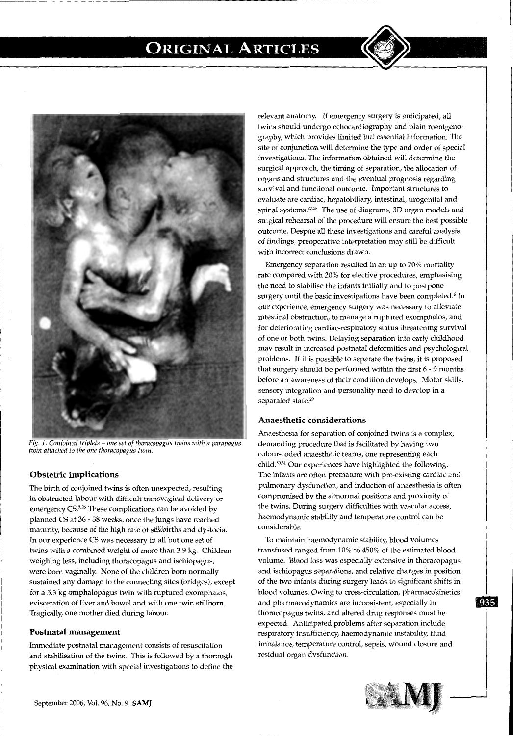

*Fig. 1. Conjoined triplets- one set of thoracopagus twins with a parapagus twin attached to the one thoracopagus twin.* 

## **Obstetric implications**

The birth of conjoined twins is often unexpected, resulting in obstructed labour with difficult transvaginal delivery or emergency CS.<sup>5,26</sup> These complications can be avoided by planned CS at 36 - 38 weeks, once the lungs have reached maturity, because of the high rate of stillbirths and dystocia. In our experience CS was necessary in all but one set of twins with a combined weight of more than 3.9 kg. Children weighing less, including thoracopagus and ischiopagus, were born vaginally. None of the children born normally sustained any damage to the connecting sites (bridges), except for a 5.3 kg omphalopagus twin with ruptured exomphalos, evisceration of liver and bowel and with one twin stillborn. Tragically, one mother died during labour.

#### **Postnatal management**

Immediate postnatal management consists of resuscitation and stabilisation of the twins. This is followed by a thorough physical examination with special investigations to define the relevant anatomy. If emergency surgery is anticipated, all twins should undergo echocardiography and plain roentgenography; which provides limited but essential information. The site of conjunction will determine the type and order of special investigations. The information obtained will determine the surgical approach, the timing of separation, the allocation of organs and structures and the eventual prognosis regarding survival and functional outcome. Important structures to evaluate are cardiac, hepatobiliary, intestinal, urogenital and spinal systems.<sup>27,28</sup> The use of diagrams, 3D organ models and surgical rehearsal of the procedure will ensure the best possible outcome. Despite all these investigations and careful analysis of findings, preoperative interpretation may still be difficult with incorrect conclusions drawn.

Emergency separation resulted in an up to 70% mortality rate compared with 20% for elective procedures, emphasising the need to stabilise the infants initially and to postpone surgery until the basic investigations have been completed.<sup>6</sup> In our experience, emergency surgery was necessary to alleviate intestinal obstruction, to manage a ruptured exomphalos, and for deteriorating cardiac-respiratory status threatening survival of one or both twins. Delaying separation into early childhood may result in increased postnatal deformities and psychological problems. If it is possible to separate the twins, it is proposed that surgery should be performed within the first 6 - 9 months before an awareness of their condition develops. Motor skills, sensory integration and personality need to develop in a separated state.<sup>29</sup>

### **Anaesthetic considerations**

Anaesthesia for separation of conjoined twins is a complex, demanding procedure that is facilitated by having two colour-coded anaesthetic teams, one representing each child.30• 31 Our experiences have highlighted the following. The infants are often premature with pre-existing cardiac and pulmonary dysfunction, and induction of anaesthesia is often compromised by the abnormal positions and proximity of the twins. During surgery difficulties with vascular access, haemodynamic stability and temperature control can be considerable.

To maintain haemodynamic stability; blood volumes transfused ranged from 10% to 450% of the estimated blood volume. Blood loss was especially extensive in thoracopagus and ischiopagus separations, and relative changes in position of the two infants during surgery leads to significant shifts in blood volumes. Owing to cross-circulation, pharmacokinetics and pharmacodynamics are inconsistent, especially in thoracopagus twins, and altered drug responses must be expected. Anticipated problems after separation include respiratory insufficiency, haemodynamic instability, fluid imbalance, temperature control, sepsis, wound closure and residual organ dysfunction.

---------- - - - - - - - - - - - - - -



935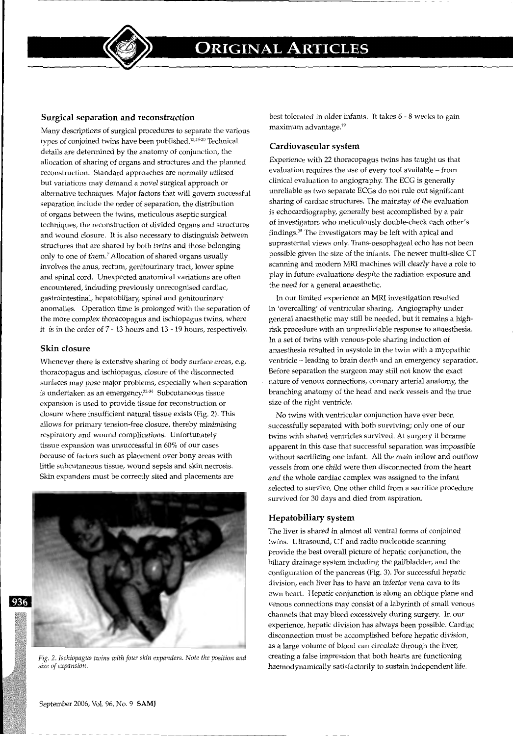

### **Surgical separation and reconstruction**

Many descriptions of surgical procedures to separate the various types of conjoined twins have been published.13• 15- 20 Technical details are determined by the anatomy of conjunction, the allocation of sharing of organs and structures and the planned reconstruction. Standard approaches are normally utilised but variations may demand a novel surgical approach or alternative techniques. Major factors that will govern successful separation include the order of separation, the distribution of organs between the twins, meticulous aseptic surgical techniques, the reconstruction of divided organs and structures and wound closure. It is also necessary to distinguish between structures that are shared by both twins and those belonging only to one of them? Allocation of shared organs usually involves the anus, rectum, genitourinary tract, lower spine and spinal cord. Unexpected anatomical variations are often encountered, including previously unrecognised cardiac, gastrointestinal, hepatobiliary, spinal and genitourinary anomalies. Operation time is prolonged with the separation of the more complex thoracopagus and ischiopagus twins, where it is in the order of 7 - 13 hours and 13 - 19 hours, respectively.

#### **Skin closure**

Whenever there is extensive sharing of body surface areas, e.g. thoracopagus and ischiopagus, closure of the disconnected surfaces may pose major problems, especially when separation is undertaken as an emergency.32- 34 Subcutaneous tissue expansion is used to provide tissue for reconstruction or closure where insufficient natural tissue exists (Fig. 2). This allows for primary tension-free closure, thereby minimising respiratory and wound complications. Unfortunately tissue expansion was unsuccessful in 60% of our cases because of factors such as placement over bony areas with little subcutaneous tissue, wound sepsis and skin necrosis. Skin expanders must be correctly sited and placements are



*Fig. 2. Ischiopagus twins with four skin expanders. Note the position and size of expansion.* 

best tolerated in older infants. It takes 6 - 8 weeks to gain maximum advantage.19

#### **Cardiovascular system**

Experience with 22 thoracopagus twins has taught us that evaluation requires the use of every tool available- from clinical evaluation to angiography. The ECG is generally unreliable as two separate ECGs do not rule out significant sharing of cardiac structures. The mainstay of the evaluation is echocardiography, generally best accomplished by a pair of investigators who meticulously double-check each other's findings. 35 The investigators may be left with apical and suprasternal views only. Trans-oesophageal echo has not been possible given the size of the infants. The newer multi-slice CT scanning and modern MRI machines will clearly have a role to play in future evaluations despite the radiation exposure and the need for a general anaesthetic.

In our limited experience an MRI investigation resulted in 'overcalling' of ventricular sharing. Angiography under general anaesthetic may still be needed, but it remains a highrisk procedure with an unpredictable response to anaesthesia. In a set of twins with venous-pole sharing induction of anaesthesia resulted in asystole in the twin with a myopathic ventricle - leading to brain death and an emergency separation. Before separation the surgeon may still not know the exact nature of venous connections, coronary arterial anatomy, the branching anatomy of the head and neck vessels and the true size of the right ventricle.

No twins with ventricular conjunction have ever been successfully separated with both surviving; only one of our twins with shared ventricles survived. At surgery it became apparent in this case that successful separation was impossible without sacrificing one infant. All the main inflow and outflow vessels from one child were then disconnected from the heart and the whole cardiac complex was assigned to the infant selected to survive. One other child from a sacrifice procedure survived for 30 days and died from aspiration.

#### **Hepatobiliary system**

The liver is shared in almost all ventral forms of conjoined twins. Ultrasound, CT and radio nucleotide scanning provide the best overall picture of hepatic conjunction, the biliary drainage system including the gallbladder, and the configuration of the pancreas (Fig. 3). For successful hepatic division, each liver has to have an inferior vena cava to its own heart. Hepatic conjunction is along an oblique plane and venous connections may consist of a labyrinth of small venous channels that may bleed excessively during surgery. In our experience, hepatic division has always been possible. Cardiac disconnection must be accomplished before hepatic division, as a large volume of blood can circulate through the liver, creating a false impression that both hearts are functioning haemodynamically satisfactorily to sustain independent life.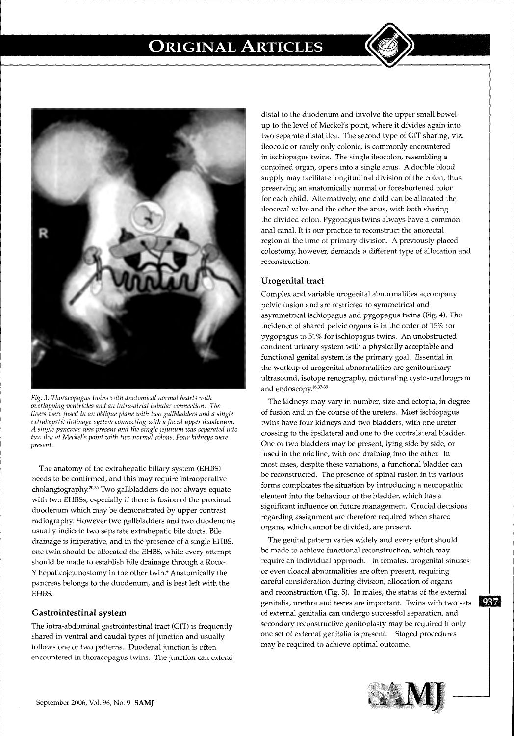

*Fig.* 3. *Thoracopagus twins with anatomical normal hearts with overlapping ventricles and an intra-atrial tubular connection. The livers were fused in an oblique plane with two gallbladders and a single extrahepatic drainage system connecting with a fused upper duodenum. A single pancreas was present and the single jejunum was separated into two ilea at Meckel's point with two normal colons. Four kidneys were present.* 

The anatomy of the extrahepatic biliary system (EHBS) needs to be confirmed, and this may require intraoperative cholangiography.20• 36 Two gallbladders do not always equate with two EHBSs, especially if there is fusion of the proximal duodenum which may be demonstrated by upper contrast radiography. However two gallbladders and two duodenums usually indicate two separate extrahepatic bile ducts. Bile drainage is imperative, and in the presence of a single EHBS, one twin should be allocated the EHBS, while every attempt should be made to establish bile drainage through a Rouxy hepaticojejunostomy in the other twin.4 Anatomically the pancreas belongs to the duodenum, and is best left with the EHBS.

#### **Gastrointestinal system**

The intra-abdominal gastrointestinal tract (GIT) is frequently shared in ventral and caudal types of junction and usually follows one of two patterns. Duodenal junction is often encountered in thoracopagus twins. The junction can extend

distal to the duodenum and involve the upper small bowel up to the level of Meckel's point, where it divides again into two separate distal ilea. The second type of GIT sharing, viz. ileocolic or rarely only colonic, is commonly encountered in ischiopagus twins. The single ileocolon, resembling a conjoined organ, opens into a single anus. A double blood supply may facilitate longitudinal division of the colon, thus preserving an anatomically normal or foreshortened colon for each child. Alternatively, one child can be allocated the ileocecal valve and the other the anus, with both sharing the divided colon. Pygopagus twins always have a common anal canal. It is our practice to reconstruct the anorectal region at the time of primary division. A previously placed colostomy; however, demands a different type of allocation and reconstruction.

### **Urogenital tract**

Complex and variable urogenital abnormalities accompany pelvic fusion and are restricted to symmetrical and asymmetrical ischiopagus and pygopagus twins (Fig. 4). The incidence of shared pelvic organs is in the order of 15% for pygopagus to 51% for ischiopagus twins. An unobstructed continent urinary system with a physically acceptable and functional genital system is the primary goal. Essential in the workup of urogenital abnormalities are genitourinary ultrasound, isotope renography, micturating cysto-urethrogram and endoscopy.<sup>18,37-39</sup>

The kidneys may vary in number, size and ectopia, in degree of fusion and in the course of the ureters. Most ischiopagus twins have four kidneys and two bladders, with one ureter crossing to the ipsilateral and one to the contralateral bladder. One or two bladders may be present, lying side by side, or fused in the midline, with one draining into the other. In most cases, despite these variations, a functional bladder can be reconstructed. The presence of spinal fusion in its various forms complicates the situation by introducing a neuropathic element into the behaviour of the bladder, which has a significant influence on future management. Crucial decisions regarding assignment are therefore required when shared organs, which cannot be divided, are present.

The genital pattern varies widely and every effort should be made to achieve functional reconstruction, which may require an individual approach. In females, urogenital sinuses or even cloacal abnormalities are often present, requiring careful consideration during division, allocation of organs and reconstruction (Fig. 5). In males, the status of the external genitalia, urethra and testes are important. Twins with two sets **987** of external genitalia can undergo successful separation, and secondary reconstructive genitoplasty may be required if only one set of external genitalia is present. Staged procedures may be required to achieve optimal outcome.

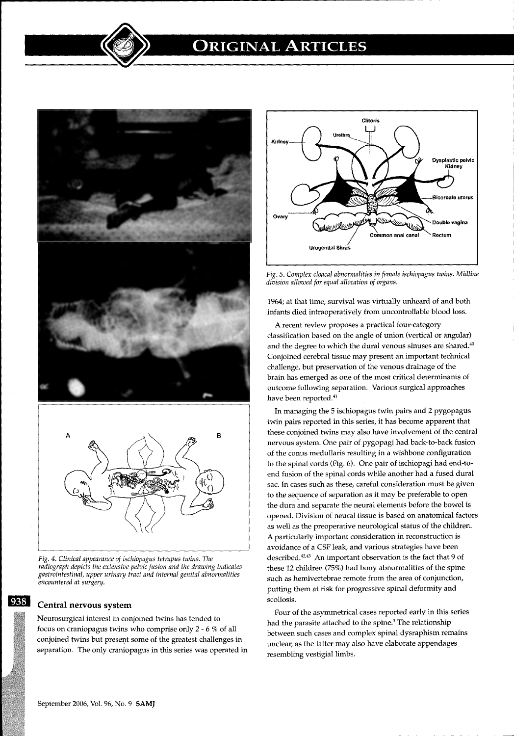



*Fig. 4. Clinical appearance of ischiopagus tetrapus twins. The radiograph depicts the extensive pelvic fusion and the drawing indicates gastrointestinal, upper urinary tract and internal genital abnormalities encountered at surgery.* 

## Central nervous system

938

Neurosurgical interest in conjoined twins has tended to focus on craniopagus twins who comprise only 2 - 6 % of all conjoined twins but present some of the greatest challenges in separation. The only craniopagus in this series was operated in



*Fig.* 5. *Complex cloacal abnormalities in female ischiopagus twins. Midline division allowed for equal allocation of organs.* 

1964; at that time, survival was virtually unheard of and both infants died intraoperatively from uncontrollable blood loss.

A recent review proposes a practical four-category classification based on the angle of union (vertical or angular) and the degree to which the dural venous sinuses are shared. $40$ Conjoined cerebral tissue may present an important technical challenge, but preservation of the venous drainage of the brain has emerged as one of the most critical determinants of outcome following separation. Various surgical approaches have been reported.<sup>41</sup>

In managing the 5 ischiopagus twin pairs and 2 pygopagus twin pairs reported in this series, it has become apparent that these conjoined twins may also have involvement of the central nervous system. One pair of pygopagi had back-to-back fusion of the conus medullaris resulting in a wishbone configuration to the spinal cords (Fig. 6). One pair of ischiopagi had end-toend fusion of the spinal cords while another had a fused dural sac. In cases such as these, careful consideration must be given to the sequence of separation as it may be preferable to open the dura and separate the neural elements before the bowel is opened. Division of neural tissue is based on anatomical factors as well as the preoperative neurological status of the children. A particularly important consideration in reconstruction is avoidance of a CSF leak, and various strategies have been described.<sup>42,43</sup> An important observation is the fact that 9 of these 12 children (75%) had bony abnormalities of the spine such as hemivertebrae remote from the area of conjunction, putting them at risk for progressive spinal deformity and scoliosis.

Four of the asymmetrical cases reported early in this series had the parasite attached to the spine.<sup>3</sup> The relationship between such cases and complex spinal dysraphism remains unclear, as the latter may also have elaborate appendages resembling vestigial limbs.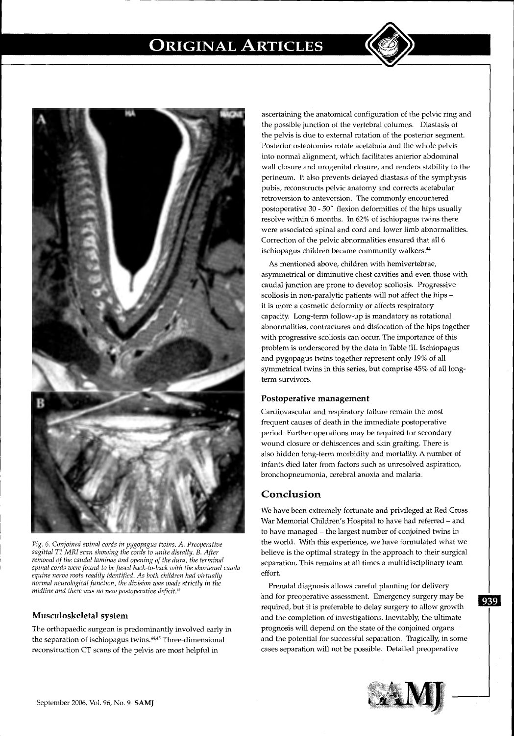

*Fig.* 6. *Conjoined spinal cords in pygopagus twins. A. Preoperative sagittal T1 MRI scan showing the cords to unite distally. B. After removal of the caudal laminae and opening of the dura, the terminal spinal cords were found to be fused back-to-back with the shortened cauda equine nerve roots readily identified. As both children had virtually normal neurological function, the division was made strictly* in *the midline and there was no new postoperative deficit. 43* 

### **Musculoskeletal system**

The orthopaedic surgeon is predominantly involved early in the separation of ischiopagus twins. 44A5 Three-dimensional reconstruction CT scans of the pelvis are most helpful in

 $-1.4\pm0.01$  and  $-1.4\pm0.01$  and  $-1.4\pm0.01$  and  $-1.4\pm0.01$ 

ascertaining the anatomical configuration of the pelvic ring and the possible junction of the vertebral columns. Diastasis of the pelvis is due to external rotation of the posterior segment. Posterior osteotomies rotate acetabula and the whole pelvis into normal alignment, which facilitates anterior abdominal wall closure and urogenital closure, and renders stability to the perineum. It also prevents delayed diastasis of the symphysis pubis, reconstructs pelvic anatomy and corrects acetabular retroversion to anteversion. The commonly encountered postoperative 30 - 50' flexion deformities of the hips usually resolve within 6 months. In 62% of ischiopagus twins there were associated spinal and cord and lower limb abnormalities. Correction of the pelvic abnormalities ensured that al16 ischiopagus children became community walkers. <sup>44</sup>

As mentioned above, children with hemivertebrae, asymmetrical or diminutive chest cavities and even those with caudal junction are prone to develop scoliosis. Progressive scoliosis in non-paralytic patients will not affect the hips it is more a cosmetic deformity or affects respiratory capacity. Long-term follow-up is mandatory as rotational abnormalities, contractures and dislocation of the hips together with progressive scoliosis can occur. The importance of this problem is underscored by the data in Table III. Ischiopagus and pygopagus twins together represent only 19% of all symmetrical twins in this series, but comprise 45% of all longterm survivors.

### **Postoperative management**

Cardiovascular and respiratory failure remain the most frequent causes of death in the immediate postoperative period. Further operations may be required for secondary wound closure or dehiscences and skin grafting. There is also hidden long-term morbidity and mortality. A number of infants died later from factors such as unresolved aspiration, bronchopneumonia, cerebral anoxia and malaria.

### **Conclusion**

We have been extremely fortunate and privileged at Red Cross War Memorial Children's Hospital to have had referred - and to have managed - the largest number of conjoined twins in the world. With this experience, we have formulated what we believe is the optimal strategy in the approach to their surgical separation. This remains at all times a multidisciplinary team effort.

Prenatal diagnosis allows careful planning for delivery and for preoperative assessment. Emergency surgery may be **may be all all**  $\overline{080}$ required, but it is preferable to delay surgery to allow growth and the completion of investigations. Inevitably, the ultimate prognosis will depend on the state of the conjoined organs and the potential for successful separation. Tragically, in some cases separation will not be possible. Detailed preoperative